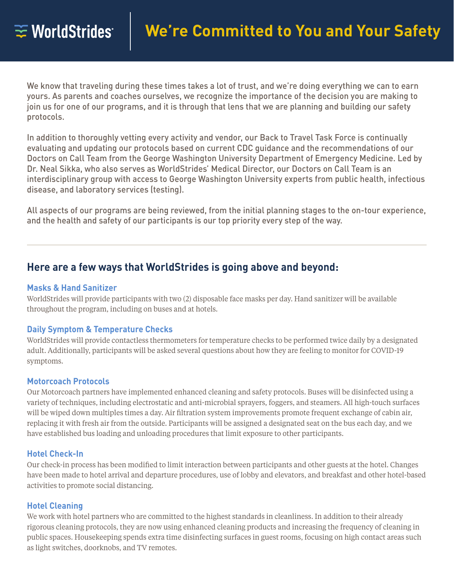We know that traveling during these times takes a lot of trust, and we're doing everything we can to earn yours. As parents and coaches ourselves, we recognize the importance of the decision you are making to join us for one of our programs, and it is through that lens that we are planning and building our safety protocols.

In addition to thoroughly vetting every activity and vendor, our Back to Travel Task Force is continually evaluating and updating our protocols based on current CDC guidance and the recommendations of our Doctors on Call Team from the George Washington University Department of Emergency Medicine. Led by Dr. Neal Sikka, who also serves as WorldStrides' Medical Director, our Doctors on Call Team is an interdisciplinary group with access to George Washington University experts from public health, infectious disease, and laboratory services (testing).

All aspects of our programs are being reviewed, from the initial planning stages to the on-tour experience, and the health and safety of our participants is our top priority every step of the way.

# **Here are a few ways that WorldStrides is going above and beyond:**

# **Masks & Hand Sanitizer**

WorldStrides will provide participants with two (2) disposable face masks per day. Hand sanitizer will be available throughout the program, including on buses and at hotels.

# **Daily Symptom & Temperature Checks**

WorldStrides will provide contactless thermometers for temperature checks to be performed twice daily by a designated adult. Additionally, participants will be asked several questions about how they are feeling to monitor for COVID-19 symptoms.

# **Motorcoach Protocols**

Our Motorcoach partners have implemented enhanced cleaning and safety protocols. Buses will be disinfected using a variety of techniques, including electrostatic and anti-microbial sprayers, foggers, and steamers. All high-touch surfaces will be wiped down multiples times a day. Air filtration system improvements promote frequent exchange of cabin air, replacing it with fresh air from the outside. Participants will be assigned a designated seat on the bus each day, and we have established bus loading and unloading procedures that limit exposure to other participants.

# **Hotel Check-In**

Our check-in process has been modified to limit interaction between participants and other guests at the hotel. Changes have been made to hotel arrival and departure procedures, use of lobby and elevators, and breakfast and other hotel-based activities to promote social distancing.

# **Hotel Cleaning**

We work with hotel partners who are committed to the highest standards in cleanliness. In addition to their already rigorous cleaning protocols, they are now using enhanced cleaning products and increasing the frequency of cleaning in public spaces. Housekeeping spends extra time disinfecting surfaces in guest rooms, focusing on high contact areas such as light switches, doorknobs, and TV remotes.